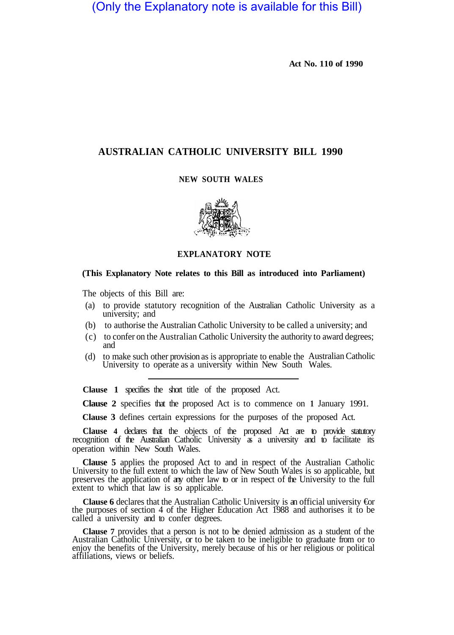(Only the Explanatory note is available for this Bill)

**Act No. 110 of 1990** 

## **AUSTRALIAN CATHOLIC UNIVERSITY BILL 1990**

## **NEW SOUTH WALES**



**EXPLANATORY NOTE** 

## **(This Explanatory Note relates to this Bill as introduced into Parliament)**

The objects of this Bill are:

- (a) to provide statutory recognition of the Australian Catholic University as a university; and
- (b) to authorise the Australian Catholic University to be called a university; and
- (c) to confer on the Australian Catholic University the authority to award degrees; and
- (d) to make such other provision as is appropriate to enable the University to operate as a university within New South Wales. (d) to make such other provision as is appropriate to enable the Australian Catholic

**Clause 1** specifies the short title of the proposed Act.

**Clause 2** specifies that the proposed Act is to commence on **1** January 1991.

**Clause 3** defines certain expressions for the purposes of the proposed Act.

**Clause 4** declares that the objects of the proposed Act are to provide statutory recognition of the Australian Catholic University as a university and to facilitate its operation within New South Wales.

**Clause 5** applies the proposed Act to and in respect of the Australian Catholic University to the full extent to which the law of New South Wales is so applicable, but preserves the application of any other law to or in respect of the University to the full extent to which that law is so applicable.

**Clause 6** declares that the Australian Catholic University is an official university €or the purposes of section 4 of the Higher Education Act 1988 and authorises it to be called a university and to confer degrees.

**Clause 7** provides that a person is not to be denied admission as a student of the Australian Catholic University, or to be taken to be ineligible to graduate from or to enjoy the benefits of the University, merely because of his or her religious or political affiliations, views or beliefs.